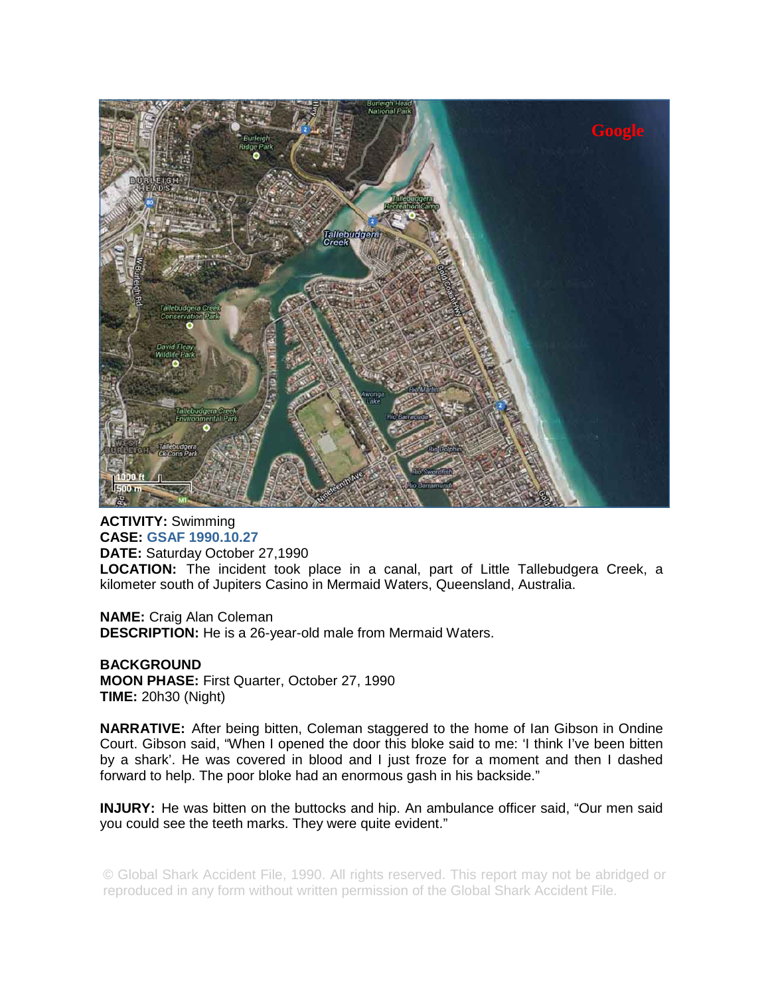

**ACTIVITY:** Swimming **CASE: GSAF 1990.10.27 DATE:** Saturday October 27,1990 **LOCATION:** The incident took place in a canal, part of Little Tallebudgera Creek, a kilometer south of Jupiters Casino in Mermaid Waters, Queensland, Australia.

**NAME:** Craig Alan Coleman **DESCRIPTION:** He is a 26-year-old male from Mermaid Waters.

**BACKGROUND MOON PHASE:** First Quarter, October 27, 1990 **TIME:** 20h30 (Night)

**NARRATIVE:** After being bitten, Coleman staggered to the home of Ian Gibson in Ondine Court. Gibson said, "When I opened the door this bloke said to me: 'I think I've been bitten by a shark'. He was covered in blood and I just froze for a moment and then I dashed forward to help. The poor bloke had an enormous gash in his backside."

**INJURY:** He was bitten on the buttocks and hip. An ambulance officer said, "Our men said you could see the teeth marks. They were quite evident."

© Global Shark Accident File, 1990. All rights reserved. This report may not be abridged or reproduced in any form without written permission of the Global Shark Accident File.